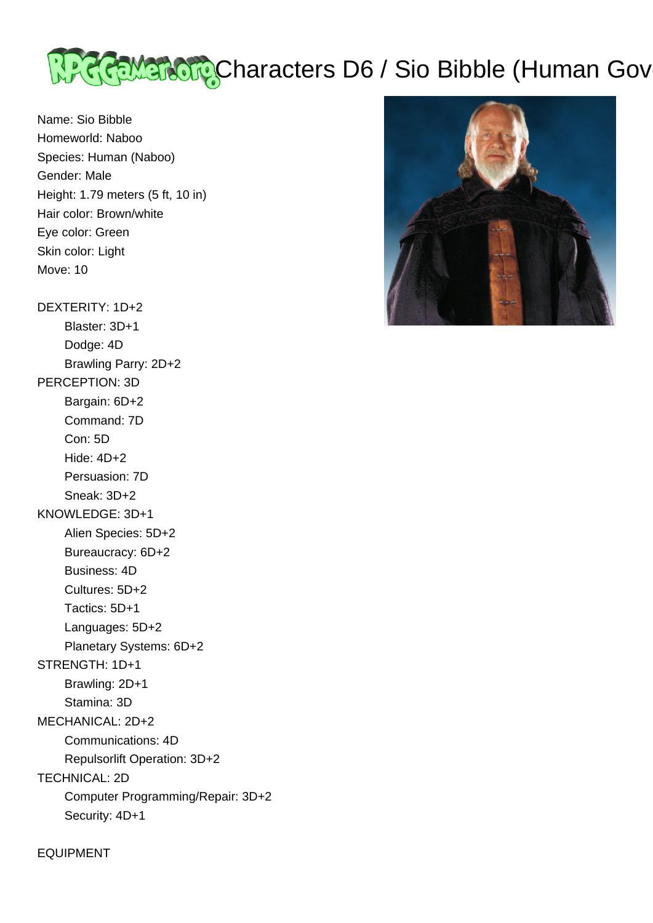# <u>प्रेश्वेदेहि Maracters Do Sio Bibble</u> (Human Governor of Nabool)

Name: Sio Bibble Homeworld: Naboo Species: Human (Naboo) Gender: Male Height: 1.79 meters (5 ft, 10 in) Hair color: Brown/white Eye color: Green Skin color: Light Move: 10

DEXTERITY: 1D+2 Blaster: 3D+1 Dodge: 4D Brawling Parry: 2D+2 PERCEPTION: 3D Bargain: 6D+2 Command: 7D Con: 5D Hide: 4D+2 Persuasion: 7D Sneak: 3D+2 KNOWLEDGE: 3D+1 Alien Species: 5D+2 Bureaucracy: 6D+2 Business: 4D Cultures: 5D+2 Tactics: 5D+1 Languages: 5D+2 Planetary Systems: 6D+2 STRENGTH: 1D+1 Brawling: 2D+1 Stamina: 3D MECHANICAL: 2D+2 Communications: 4D Repulsorlift Operation: 3D+2

TECHNICAL: 2D

 Computer Programming/Repair: 3D+2 Security: 4D+1

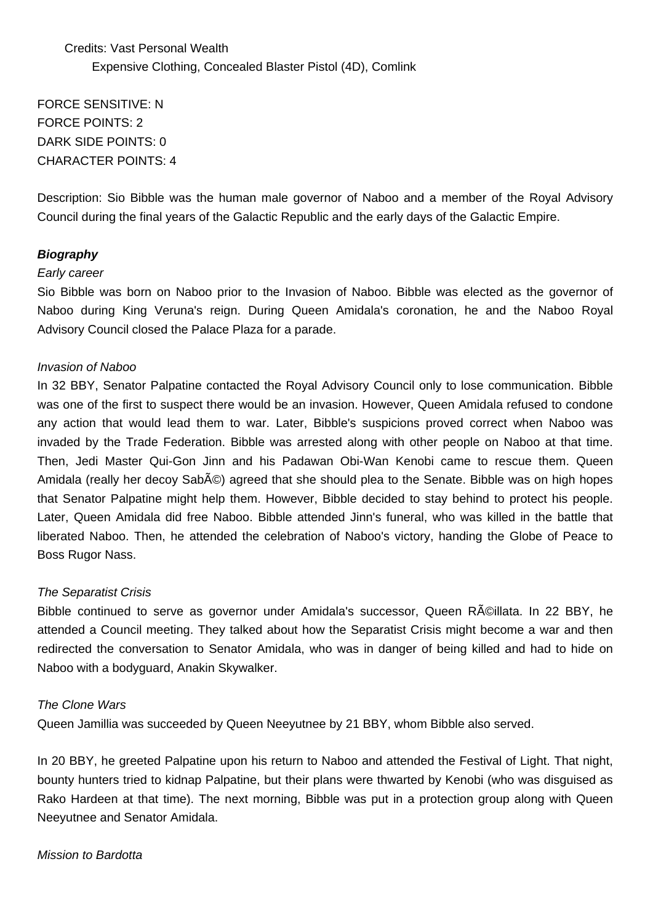# Credits: Vast Personal Wealth Expensive Clothing, Concealed Blaster Pistol (4D), Comlink

FORCE SENSITIVE: N FORCE POINTS: 2 DARK SIDE POINTS: 0 CHARACTER POINTS: 4

Description: Sio Bibble was the human male governor of Naboo and a member of the Royal Advisory Council during the final years of the Galactic Republic and the early days of the Galactic Empire.

# **Biography**

#### Early career

Sio Bibble was born on Naboo prior to the Invasion of Naboo. Bibble was elected as the governor of Naboo during King Veruna's reign. During Queen Amidala's coronation, he and the Naboo Royal Advisory Council closed the Palace Plaza for a parade.

#### Invasion of Naboo

In 32 BBY, Senator Palpatine contacted the Royal Advisory Council only to lose communication. Bibble was one of the first to suspect there would be an invasion. However, Queen Amidala refused to condone any action that would lead them to war. Later, Bibble's suspicions proved correct when Naboo was invaded by the Trade Federation. Bibble was arrested along with other people on Naboo at that time. Then, Jedi Master Qui-Gon Jinn and his Padawan Obi-Wan Kenobi came to rescue them. Queen Amidala (really her decoy Sabé) agreed that she should plea to the Senate. Bibble was on high hopes that Senator Palpatine might help them. However, Bibble decided to stay behind to protect his people. Later, Queen Amidala did free Naboo. Bibble attended Jinn's funeral, who was killed in the battle that liberated Naboo. Then, he attended the celebration of Naboo's victory, handing the Globe of Peace to Boss Rugor Nass.

## The Separatist Crisis

Bibble continued to serve as governor under Amidala's successor, Queen R©illata. In 22 BBY, he attended a Council meeting. They talked about how the Separatist Crisis might become a war and then redirected the conversation to Senator Amidala, who was in danger of being killed and had to hide on Naboo with a bodyguard, Anakin Skywalker.

#### The Clone Wars

Queen Jamillia was succeeded by Queen Neeyutnee by 21 BBY, whom Bibble also served.

In 20 BBY, he greeted Palpatine upon his return to Naboo and attended the Festival of Light. That night, bounty hunters tried to kidnap Palpatine, but their plans were thwarted by Kenobi (who was disguised as Rako Hardeen at that time). The next morning, Bibble was put in a protection group along with Queen Neeyutnee and Senator Amidala.

#### Mission to Bardotta